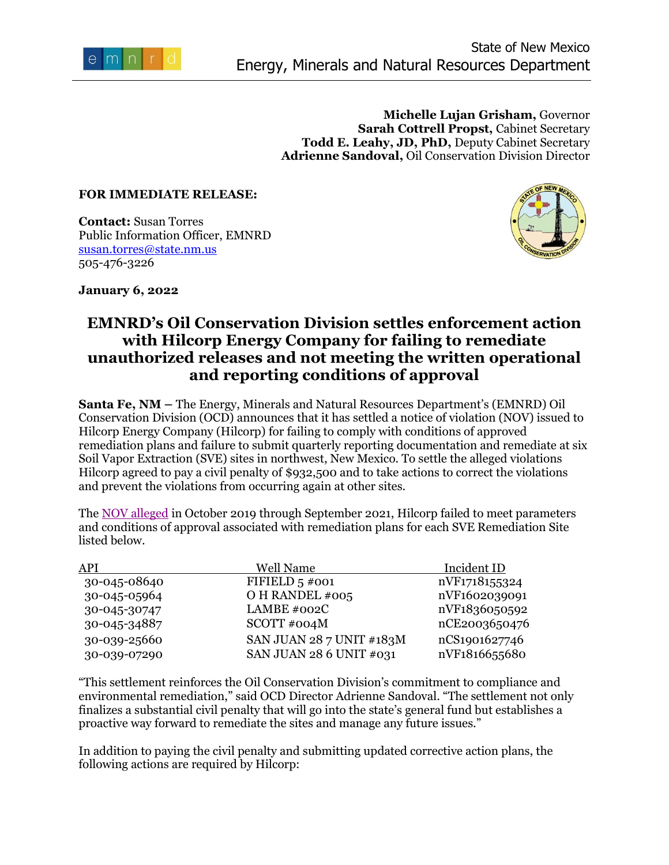

**Michelle Lujan Grisham,** Governor **Sarah Cottrell Propst,** Cabinet Secretary **Todd E. Leahy, JD, PhD,** Deputy Cabinet Secretary **Adrienne Sandoval,** Oil Conservation Division Director

## **FOR IMMEDIATE RELEASE:**

**Contact:** Susan Torres Public Information Officer, EMNRD [susan.torres@state.nm.us](mailto:susan.torres@state.nm.us) 505-476-3226



**January 6, 2022** 

## **EMNRD's Oil Conservation Division settles enforcement action with Hilcorp Energy Company for failing to remediate unauthorized releases and not meeting the written operational and reporting conditions of approval**

**Santa Fe, NM –** The Energy, Minerals and Natural Resources Department's (EMNRD) Oil Conservation Division (OCD) announces that it has settled a notice of violation (NOV) issued to Hilcorp Energy Company (Hilcorp) for failing to comply with conditions of approved remediation plans and failure to submit quarterly reporting documentation and remediate at six Soil Vapor Extraction (SVE) sites in northwest, New Mexico. To settle the alleged violations Hilcorp agreed to pay a civil penalty of \$932,500 and to take actions to correct the violations and prevent the violations from occurring again at other sites.

The [NOV alleged](https://www.emnrd.nm.gov/ocd/wp-content/uploads/sites/6/HilcorpNOV090121.pdf) in October 2019 through September 2021, Hilcorp failed to meet parameters and conditions of approval associated with remediation plans for each SVE Remediation Site listed below.

| API          | Well Name                | Incident ID   |
|--------------|--------------------------|---------------|
| 30-045-08640 | FIFIELD $5\neq 001$      | nVF1718155324 |
| 30-045-05964 | O H RANDEL #005          | nVF1602039091 |
| 30-045-30747 | LAMBE #002C              | nVF1836050592 |
| 30-045-34887 | SCOTT#004M               | nCE2003650476 |
| 30-039-25660 | SAN JUAN 28 7 UNIT #183M | nCS1901627746 |
| 30-039-07290 | SAN JUAN 28 6 UNIT #031  | nVF1816655680 |

"This settlement reinforces the Oil Conservation Division's commitment to compliance and environmental remediation," said OCD Director Adrienne Sandoval. "The settlement not only finalizes a substantial civil penalty that will go into the state's general fund but establishes a proactive way forward to remediate the sites and manage any future issues."

In addition to paying the civil penalty and submitting updated corrective action plans, the following actions are required by Hilcorp: